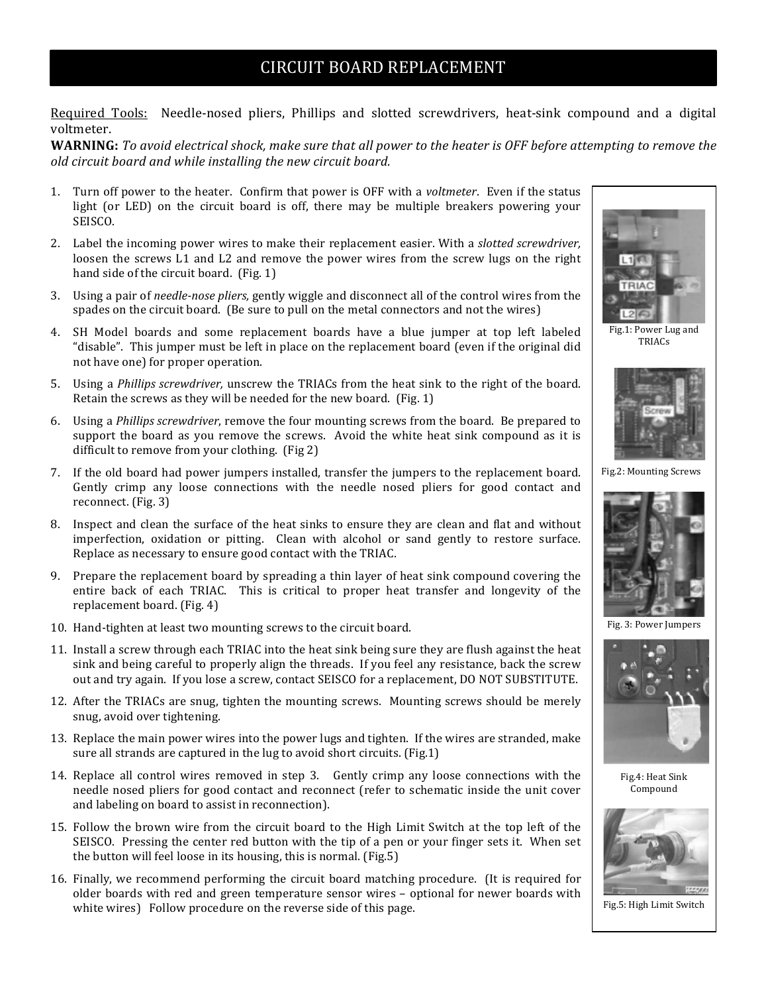## CIRCUIT BOARD REPLACEMENT

Required Tools: Needle-nosed pliers, Phillips and slotted screwdrivers, heat-sink compound and a digital voltmeter.

**WARNING:** To avoid electrical shock, make sure that all power to the heater is OFF before attempting to remove the *old circuit board and while installing the new circuit board.* 

- 1. Turn off power to the heater. Confirm that power is OFF with a *voltmeter*. Even if the status light (or LED) on the circuit board is off, there may be multiple breakers powering your SEISCO.
- 2. Label the incoming power wires to make their replacement easier. With a *slotted screwdriver*, loosen the screws L1 and L2 and remove the power wires from the screw lugs on the right hand side of the circuit board. (Fig. 1)
- 3. Using a pair of *needle-nose pliers,* gently wiggle and disconnect all of the control wires from the spades on the circuit board. (Be sure to pull on the metal connectors and not the wires)
- 4. SH Model boards and some replacement boards have a blue jumper at top left labeled "disable". This jumper must be left in place on the replacement board (even if the original did not have one) for proper operation.
- 5. Using a *Phillips screwdriver*, unscrew the TRIACs from the heat sink to the right of the board. Retain the screws as they will be needed for the new board. (Fig. 1)
- 6. Using a *Phillips screwdriver*, remove the four mounting screws from the board. Be prepared to support the board as you remove the screws. Avoid the white heat sink compound as it is difficult to remove from your clothing. (Fig 2)
- 7. If the old board had power jumpers installed, transfer the jumpers to the replacement board. Gently crimp any loose connections with the needle nosed pliers for good contact and reconnect. (Fig. 3)
- 8. Inspect and clean the surface of the heat sinks to ensure they are clean and flat and without imperfection, oxidation or pitting. Clean with alcohol or sand gently to restore surface. Replace as necessary to ensure good contact with the TRIAC.
- 9. Prepare the replacement board by spreading a thin layer of heat sink compound covering the entire back of each TRIAC. This is critical to proper heat transfer and longevity of the replacement board. (Fig. 4)
- 10. Hand-tighten at least two mounting screws to the circuit board.
- 11. Install a screw through each TRIAC into the heat sink being sure they are flush against the heat sink and being careful to properly align the threads. If you feel any resistance, back the screw out and try again. If you lose a screw, contact SEISCO for a replacement, DO NOT SUBSTITUTE.
- 12. After the TRIACs are snug, tighten the mounting screws. Mounting screws should be merely snug, avoid over tightening.
- 13. Replace the main power wires into the power lugs and tighten. If the wires are stranded, make sure all strands are captured in the lug to avoid short circuits. (Fig.1)
- 14. Replace all control wires removed in step 3. Gently crimp any loose connections with the needle nosed pliers for good contact and reconnect (refer to schematic inside the unit cover and labeling on board to assist in reconnection).
- 15. Follow the brown wire from the circuit board to the High Limit Switch at the top left of the SEISCO. Pressing the center red button with the tip of a pen or your finger sets it. When set the button will feel loose in its housing, this is normal. (Fig.5)
- 16. Finally, we recommend performing the circuit board matching procedure. (It is required for older boards with red and green temperature sensor wires – optional for newer boards with white wires) Follow procedure on the reverse side of this page.



Fig.1: Power Lug and TRIACs



Fig.2: Mounting Screws



Fig. 3: Power Jumpers



Fig.4: Heat Sink Compound



Fig.5: High Limit Switch